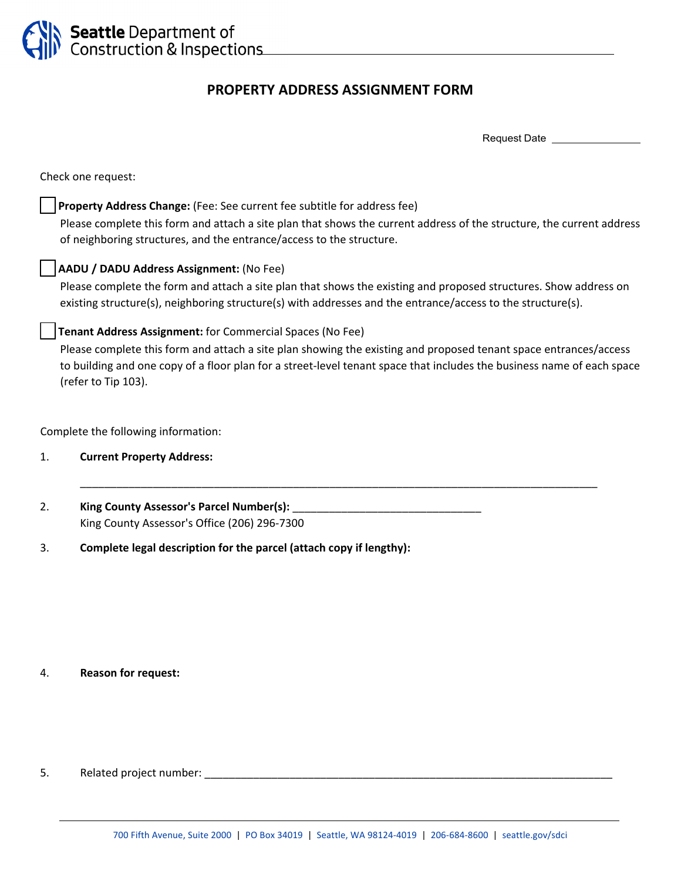

# **PROPERTY ADDRESS ASSIGNMENT FORM**

Request Date

Check one request:

## □ **Property Address Change:** (Fee: See current fee subtitle for address fee)

 Please complete this form and attach a site plan that shows the current address of the structure, the current address of neighboring structures, and the entrance/access to the structure.

## ☐ **AADU / DADU Address Assignment:** (No Fee)

 Please complete the form and attach a site plan that shows the existing and proposed structures. Show address on existing structure(s), neighboring structure(s) with addresses and the entrance/access to the structure(s).

#### ☐ **Tenant Address Assignment:** for Commercial Spaces (No Fee)

 Please complete this form and attach a site plan showing the existing and proposed tenant space entrances/access to building and one copy of a floor plan for a street‐level tenant space that includes the business name of each space (refer to Tip 103).

\_\_\_\_\_\_\_\_\_\_\_\_\_\_\_\_\_\_\_\_\_\_\_\_\_\_\_\_\_\_\_\_\_\_\_\_\_\_\_\_\_\_\_\_\_\_\_\_\_\_\_\_\_\_\_\_\_\_\_\_\_\_\_\_\_\_\_\_\_\_\_\_\_\_\_\_\_\_\_\_\_\_\_\_\_

Complete the following information:

- 1. **Current Property Address:**
- 2. **King County Assessor's Parcel Number(s):** \_\_\_\_\_\_\_\_\_\_\_\_\_\_\_\_\_\_\_\_\_\_\_\_\_\_\_\_\_\_\_ King County Assessor's Office (206) 296‐7300
- 3. **Complete legal description for the parcel (attach copy if lengthy):**

#### 4. **Reason for request:**

5. Related project number: \_\_\_\_\_\_\_\_\_\_\_\_\_\_\_\_\_\_\_\_\_\_\_\_\_\_\_\_\_\_\_\_\_\_\_\_\_\_\_\_\_\_\_\_\_\_\_\_\_\_\_\_\_\_\_\_\_\_\_\_\_\_\_\_\_\_\_